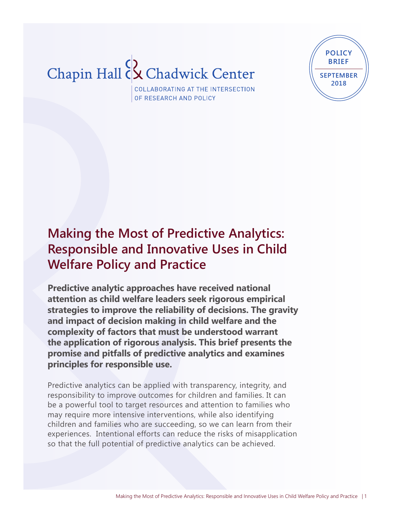# Chapin Hall Cx Chadwick Center



COLLABORATING AT THE INTERSECTION OF RESEARCH AND POLICY

# **Making the Most of Predictive Analytics: Responsible and Innovative Uses in Child Welfare Policy and Practice**

**Predictive analytic approaches have received national attention as child welfare leaders seek rigorous empirical strategies to improve the reliability of decisions. The gravity and impact of decision making in child welfare and the complexity of factors that must be understood warrant the application of rigorous analysis. This brief presents the promise and pitfalls of predictive analytics and examines principles for responsible use.** 

Predictive analytics can be applied with transparency, integrity, and responsibility to improve outcomes for children and families. It can be a powerful tool to target resources and attention to families who may require more intensive interventions, while also identifying children and families who are succeeding, so we can learn from their experiences. Intentional efforts can reduce the risks of misapplication so that the full potential of predictive analytics can be achieved.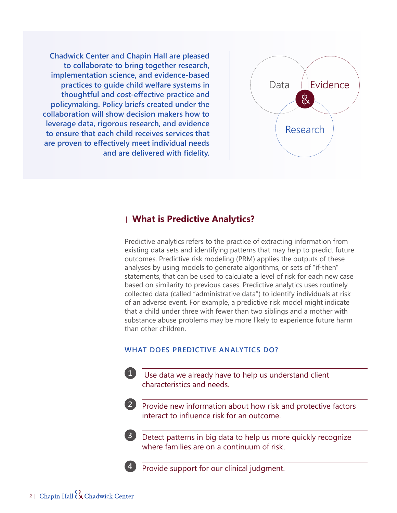

**Chadwick Center and Chapin Hall are pleased to collaborate to bring together research, implementation science, and evidence-based practices to guide child welfare systems in thoughtful and cost-effective practice and policymaking. Policy briefs created under the collaboration will show decision makers how to leverage data, rigorous research, and evidence to ensure that each child receives services that are proven to effectively meet individual needs and are delivered with fidelity.**

### **What is Predictive Analytics?**

Predictive analytics refers to the practice of extracting information from existing data sets and identifying patterns that may help to predict future outcomes. Predictive risk modeling (PRM) applies the outputs of these analyses by using models to generate algorithms, or sets of "if-then" statements, that can be used to calculate a level of risk for each new case based on similarity to previous cases. Predictive analytics uses routinely collected data (called "administrative data") to identify individuals at risk of an adverse event. For example, a predictive risk model might indicate that a child under three with fewer than two siblings and a mother with substance abuse problems may be more likely to experience future harm than other children.

#### **WHAT DOES PREDICTIVE ANALYTICS DO?**

- Use data we already have to help us understand client **1** characteristics and needs.
- Provide new information about how risk and protective factors **2** interact to influence risk for an outcome.

Detect patterns in big data to help us more quickly recognize **3** where families are on a continuum of risk.

Provide support for our clinical judgment.

**4**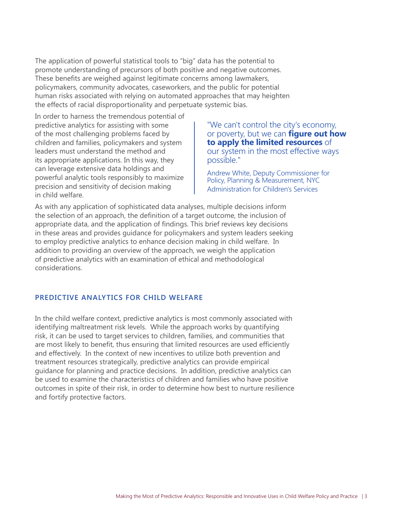The application of powerful statistical tools to "big" data has the potential to promote understanding of precursors of both positive and negative outcomes. These benefits are weighed against legitimate concerns among lawmakers, policymakers, community advocates, caseworkers, and the public for potential human risks associated with relying on automated approaches that may heighten the effects of racial disproportionality and perpetuate systemic bias.

In order to harness the tremendous potential of predictive analytics for assisting with some of the most challenging problems faced by children and families, policymakers and system leaders must understand the method and its appropriate applications. In this way, they can leverage extensive data holdings and powerful analytic tools responsibly to maximize precision and sensitivity of decision making in child welfare.

"We can't control the city's economy, or poverty, but we can **figure out how to apply the limited resources** of our system in the most effective ways possible."

Andrew White, Deputy Commissioner for Policy, Planning & Measurement, NYC Administration for Children's Services

As with any application of sophisticated data analyses, multiple decisions inform the selection of an approach, the definition of a target outcome, the inclusion of appropriate data, and the application of findings. This brief reviews key decisions in these areas and provides guidance for policymakers and system leaders seeking to employ predictive analytics to enhance decision making in child welfare. In addition to providing an overview of the approach, we weigh the application of predictive analytics with an examination of ethical and methodological considerations.

#### **PREDICTIVE ANALYTICS FOR CHILD WELFARE**

In the child welfare context, predictive analytics is most commonly associated with identifying maltreatment risk levels. While the approach works by quantifying risk, it can be used to target services to children, families, and communities that are most likely to benefit, thus ensuring that limited resources are used efficiently and effectively. In the context of new incentives to utilize both prevention and treatment resources strategically, predictive analytics can provide empirical guidance for planning and practice decisions. In addition, predictive analytics can be used to examine the characteristics of children and families who have positive outcomes in spite of their risk, in order to determine how best to nurture resilience and fortify protective factors.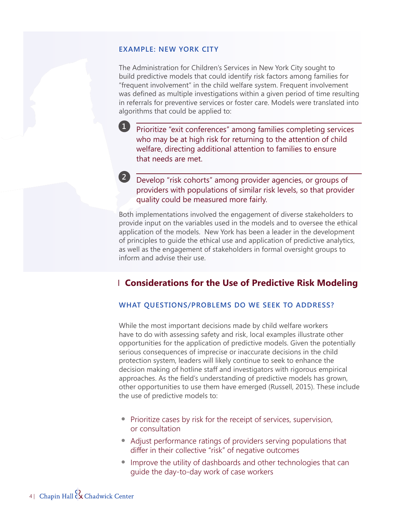#### **EXAMPLE: NEW YORK CITY**

**1**

The Administration for Children's Services in New York City sought to build predictive models that could identify risk factors among families for "frequent involvement" in the child welfare system. Frequent involvement was defined as multiple investigations within a given period of time resulting in referrals for preventive services or foster care. Models were translated into algorithms that could be applied to:

Prioritize "exit conferences" among families completing services who may be at high risk for returning to the attention of child welfare, directing additional attention to families to ensure that needs are met.

Develop "risk cohorts" among provider agencies, or groups of **2**providers with populations of similar risk levels, so that provider quality could be measured more fairly.

Both implementations involved the engagement of diverse stakeholders to provide input on the variables used in the models and to oversee the ethical application of the models. New York has been a leader in the development of principles to guide the ethical use and application of predictive analytics, as well as the engagement of stakeholders in formal oversight groups to inform and advise their use.

# **Considerations for the Use of Predictive Risk Modeling**

#### **WHAT QUESTIONS/PROBLEMS DO WE SEEK TO ADDRESS?**

While the most important decisions made by child welfare workers have to do with assessing safety and risk, local examples illustrate other opportunities for the application of predictive models. Given the potentially serious consequences of imprecise or inaccurate decisions in the child protection system, leaders will likely continue to seek to enhance the decision making of hotline staff and investigators with rigorous empirical approaches. As the field's understanding of predictive models has grown, other opportunities to use them have emerged (Russell, 2015). These include the use of predictive models to:

- **•** Prioritize cases by risk for the receipt of services, supervision, or consultation
- **•** Adjust performance ratings of providers serving populations that differ in their collective "risk" of negative outcomes
- **•** Improve the utility of dashboards and other technologies that can guide the day-to-day work of case workers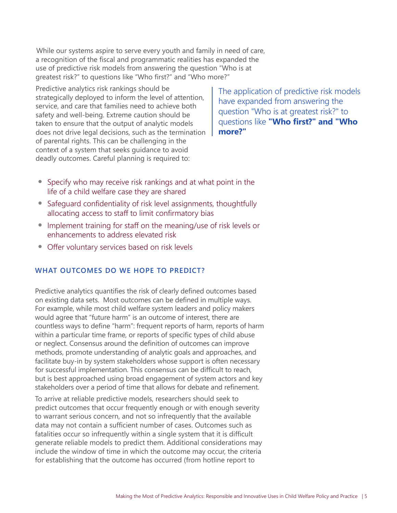While our systems aspire to serve every youth and family in need of care, a recognition of the fiscal and programmatic realities has expanded the use of predictive risk models from answering the question "Who is at greatest risk?" to questions like "Who first?" and "Who more?"

Predictive analytics risk rankings should be strategically deployed to inform the level of attention, service, and care that families need to achieve both safety and well-being. Extreme caution should be taken to ensure that the output of analytic models does not drive legal decisions, such as the termination of parental rights. This can be challenging in the context of a system that seeks guidance to avoid deadly outcomes. Careful planning is required to:

The application of predictive risk models have expanded from answering the question "Who is at greatest risk?" to questions like **"Who first?" and "Who more?"**

- **•** Specify who may receive risk rankings and at what point in the life of a child welfare case they are shared
- **•** Safeguard confidentiality of risk level assignments, thoughtfully allocating access to staff to limit confirmatory bias
- **•** Implement training for staff on the meaning/use of risk levels or enhancements to address elevated risk
- **•** Offer voluntary services based on risk levels

## **WHAT OUTCOMES DO WE HOPE TO PREDICT?**

Predictive analytics quantifies the risk of clearly defined outcomes based on existing data sets. Most outcomes can be defined in multiple ways. For example, while most child welfare system leaders and policy makers would agree that "future harm" is an outcome of interest, there are countless ways to define "harm": frequent reports of harm, reports of harm within a particular time frame, or reports of specific types of child abuse or neglect. Consensus around the definition of outcomes can improve methods, promote understanding of analytic goals and approaches, and facilitate buy-in by system stakeholders whose support is often necessary for successful implementation. This consensus can be difficult to reach, but is best approached using broad engagement of system actors and key stakeholders over a period of time that allows for debate and refinement.

To arrive at reliable predictive models, researchers should seek to predict outcomes that occur frequently enough or with enough severity to warrant serious concern, and not so infrequently that the available data may not contain a sufficient number of cases. Outcomes such as fatalities occur so infrequently within a single system that it is difficult generate reliable models to predict them. Additional considerations may include the window of time in which the outcome may occur, the criteria for establishing that the outcome has occurred (from hotline report to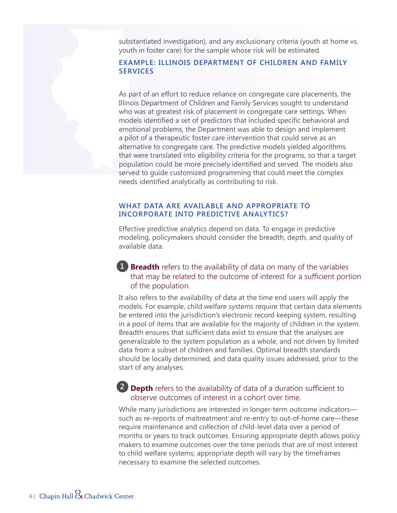substantiated investigation), and any exclusionary criteria (youth at home vs. youth in foster care) for the sample whose risk will be estimated.

#### **EXAMPLE: ILLINOIS DEPARTMENT OF CHILDREN AND FAMILY SERVICES**

As part of an effort to reduce reliance on congregate care placements, the Illinois Department of Children and Family Services sought to understand who was at greatest risk of placement in congregate care settings. When models identified a set of predictors that included specific behavioral and emotional problems, the Department was able to design and implement a pilot of a therapeutic foster care intervention that could serve as an alternative to congregate care. The predictive models yielded algorithms that were translated into eligibility criteria for the programs, so that a target population could be more precisely identified and served. The models also served to guide customized programming that could meet the complex needs identified analytically as contributing to risk.

#### **WHAT DATA ARE AVAILABLE AND APPROPRIATE TO INCORPORATE INTO PREDICTIVE ANALYTICS?**

Effective predictive analytics depend on data. To engage in predictive modeling, policymakers should consider the breadth, depth, and quality of available data.

# **1 Breadth** refers to the availability of data on many of the variables that may be related to the outcome of interest for a sufficient portion of the population.

It also refers to the availability of data at the time end users will apply the models. For example, child welfare systems require that certain data elements be entered into the jurisdiction's electronic record keeping system, resulting in a pool of items that are available for the majority of children in the system. Breadth ensures that sufficient data exist to ensure that the analyses are generalizable to the system population as a whole, and not driven by limited data from a subset of children and families. Optimal breadth standards should be locally determined, and data quality issues addressed, prior to the start of any analyses.

# **• Depth** refers to the availability of data of a duration sufficient to **2**observe outcomes of interest in a cohort over time.

While many jurisdictions are interested in longer-term outcome indicators such as re-reports of maltreatment and re-entry to out-of-home care—these require maintenance and collection of child-level data over a period of months or years to track outcomes. Ensuring appropriate depth allows policy makers to examine outcomes over the time periods that are of most interest to child welfare systems; appropriate depth will vary by the timeframes necessary to examine the selected outcomes.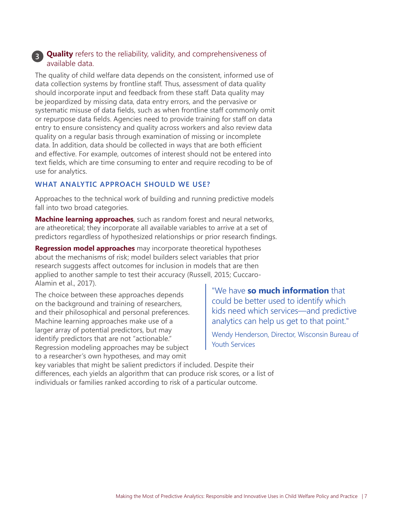# **Quality** refers to the reliability, validity, and comprehensiveness of **3**available data.

The quality of child welfare data depends on the consistent, informed use of data collection systems by frontline staff. Thus, assessment of data quality should incorporate input and feedback from these staff. Data quality may be jeopardized by missing data, data entry errors, and the pervasive or systematic misuse of data fields, such as when frontline staff commonly omit or repurpose data fields. Agencies need to provide training for staff on data entry to ensure consistency and quality across workers and also review data quality on a regular basis through examination of missing or incomplete data. In addition, data should be collected in ways that are both efficient and effective. For example, outcomes of interest should not be entered into text fields, which are time consuming to enter and require recoding to be of use for analytics.

#### **WHAT ANALYTIC APPROACH SHOULD WE USE?**

Approaches to the technical work of building and running predictive models fall into two broad categories.

**Machine learning approaches**, such as random forest and neural networks, are atheoretical; they incorporate all available variables to arrive at a set of predictors regardless of hypothesized relationships or prior research findings.

**Regression model approaches** may incorporate theoretical hypotheses about the mechanisms of risk; model builders select variables that prior research suggests affect outcomes for inclusion in models that are then applied to another sample to test their accuracy (Russell, 2015; Cuccaro-Alamin et al., 2017).

The choice between these approaches depends on the background and training of researchers, and their philosophical and personal preferences. Machine learning approaches make use of a larger array of potential predictors, but may identify predictors that are not "actionable." Regression modeling approaches may be subject to a researcher's own hypotheses, and may omit

"We have **so much information** that could be better used to identify which kids need which services—and predictive analytics can help us get to that point."

Wendy Henderson, Director, Wisconsin Bureau of Youth Services

key variables that might be salient predictors if included. Despite their differences, each yields an algorithm that can produce risk scores, or a list of individuals or families ranked according to risk of a particular outcome.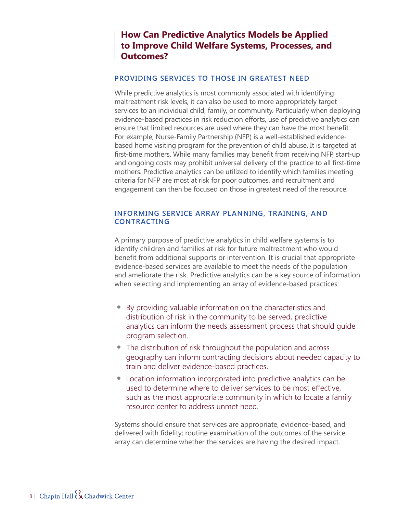# **How Can Predictive Analytics Models be Applied to Improve Child Welfare Systems, Processes, and Outcomes?**

#### **PROVIDING SERVICES TO THOSE IN GREATEST NEED**

While predictive analytics is most commonly associated with identifying maltreatment risk levels, it can also be used to more appropriately target services to an individual child, family, or community. Particularly when deploying evidence-based practices in risk reduction efforts, use of predictive analytics can ensure that limited resources are used where they can have the most benefit. For example, Nurse-Family Partnership (NFP) is a well-established evidencebased home visiting program for the prevention of child abuse. It is targeted at first-time mothers. While many families may benefit from receiving NFP, start-up and ongoing costs may prohibit universal delivery of the practice to all first-time mothers. Predictive analytics can be utilized to identify which families meeting criteria for NFP are most at risk for poor outcomes, and recruitment and engagement can then be focused on those in greatest need of the resource.

#### **INFORMING SERVICE ARRAY PLANNING, TRAINING, AND CONTRACTING**

A primary purpose of predictive analytics in child welfare systems is to identify children and families at risk for future maltreatment who would benefit from additional supports or intervention. It is crucial that appropriate evidence-based services are available to meet the needs of the population and ameliorate the risk. Predictive analytics can be a key source of information when selecting and implementing an array of evidence-based practices:

- **•** By providing valuable information on the characteristics and distribution of risk in the community to be served, predictive analytics can inform the needs assessment process that should guide program selection.
- **•** The distribution of risk throughout the population and across geography can inform contracting decisions about needed capacity to train and deliver evidence-based practices.
- **•** Location information incorporated into predictive analytics can be used to determine where to deliver services to be most effective, such as the most appropriate community in which to locate a family resource center to address unmet need.

Systems should ensure that services are appropriate, evidence-based, and delivered with fidelity; routine examination of the outcomes of the service array can determine whether the services are having the desired impact.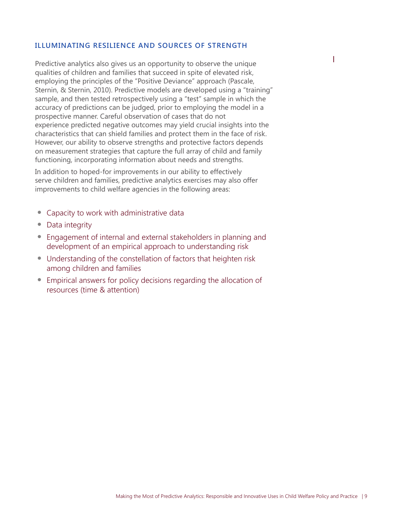#### **ILLUMINATING RESILIENCE AND SOURCES OF STRENGTH**

Predictive analytics also gives us an opportunity to observe the unique qualities of children and families that succeed in spite of elevated risk, employing the principles of the "Positive Deviance" approach (Pascale, Sternin, & Sternin, 2010). Predictive models are developed using a "training" sample, and then tested retrospectively using a "test" sample in which the accuracy of predictions can be judged, prior to employing the model in a prospective manner. Careful observation of cases that do not experience predicted negative outcomes may yield crucial insights into the characteristics that can shield families and protect them in the face of risk. However, our ability to observe strengths and protective factors depends on measurement strategies that capture the full array of child and family functioning, incorporating information about needs and strengths.

In addition to hoped-for improvements in our ability to effectively serve children and families, predictive analytics exercises may also offer improvements to child welfare agencies in the following areas:

- **•** Capacity to work with administrative data
- **•** Data integrity
- **•** Engagement of internal and external stakeholders in planning and development of an empirical approach to understanding risk
- **•** Understanding of the constellation of factors that heighten risk among children and families
- **•** Empirical answers for policy decisions regarding the allocation of resources (time & attention)

1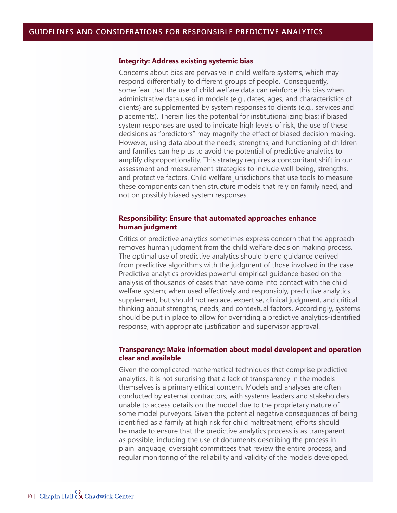#### **Integrity: Address existing systemic bias**

Concerns about bias are pervasive in child welfare systems, which may respond differentially to different groups of people. Consequently, some fear that the use of child welfare data can reinforce this bias when administrative data used in models (e.g., dates, ages, and characteristics of clients) are supplemented by system responses to clients (e.g., services and placements). Therein lies the potential for institutionalizing bias: if biased system responses are used to indicate high levels of risk, the use of these decisions as "predictors" may magnify the effect of biased decision making. However, using data about the needs, strengths, and functioning of children and families can help us to avoid the potential of predictive analytics to amplify disproportionality. This strategy requires a concomitant shift in our assessment and measurement strategies to include well-being, strengths, and protective factors. Child welfare jurisdictions that use tools to measure these components can then structure models that rely on family need, and not on possibly biased system responses.

#### **Responsibility: Ensure that automated approaches enhance human judgment**

Critics of predictive analytics sometimes express concern that the approach removes human judgment from the child welfare decision making process. The optimal use of predictive analytics should blend guidance derived from predictive algorithms with the judgment of those involved in the case. Predictive analytics provides powerful empirical guidance based on the analysis of thousands of cases that have come into contact with the child welfare system; when used effectively and responsibly, predictive analytics supplement, but should not replace, expertise, clinical judgment, and critical thinking about strengths, needs, and contextual factors. Accordingly, systems should be put in place to allow for overriding a predictive analytics-identified response, with appropriate justification and supervisor approval.

#### **Transparency: Make information about model developent and operation clear and available**

Given the complicated mathematical techniques that comprise predictive analytics, it is not surprising that a lack of transparency in the models themselves is a primary ethical concern. Models and analyses are often conducted by external contractors, with systems leaders and stakeholders unable to access details on the model due to the proprietary nature of some model purveyors. Given the potential negative consequences of being identified as a family at high risk for child maltreatment, efforts should be made to ensure that the predictive analytics process is as transparent as possible, including the use of documents describing the process in plain language, oversight committees that review the entire process, and regular monitoring of the reliability and validity of the models developed.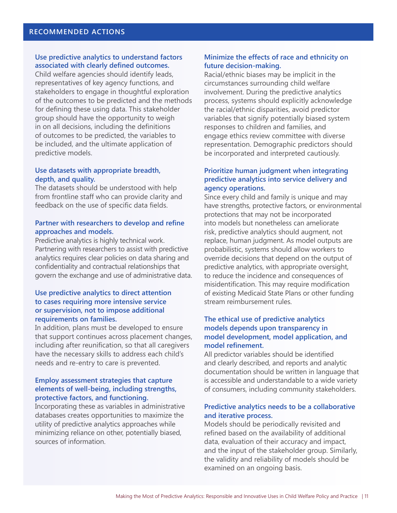#### **Use predictive analytics to understand factors associated with clearly defined outcomes.**

Child welfare agencies should identify leads, representatives of key agency functions, and stakeholders to engage in thoughtful exploration of the outcomes to be predicted and the methods for defining these using data. This stakeholder group should have the opportunity to weigh in on all decisions, including the definitions of outcomes to be predicted, the variables to be included, and the ultimate application of predictive models.

#### **Use datasets with appropriate breadth, depth, and quality.**

The datasets should be understood with help from frontline staff who can provide clarity and feedback on the use of specific data fields.

#### **Partner with researchers to develop and refine approaches and models.**

Predictive analytics is highly technical work. Partnering with researchers to assist with predictive analytics requires clear policies on data sharing and confidentiality and contractual relationships that govern the exchange and use of administrative data.

#### **Use predictive analytics to direct attention to cases requiring more intensive service or supervision, not to impose additional requirements on families.**

In addition, plans must be developed to ensure that support continues across placement changes, including after reunification, so that all caregivers have the necessary skills to address each child's needs and re-entry to care is prevented.

#### **Employ assessment strategies that capture elements of well-being, including strengths, protective factors, and functioning.**

Incorporating these as variables in administrative databases creates opportunities to maximize the utility of predictive analytics approaches while minimizing reliance on other, potentially biased, sources of information.

#### **Minimize the effects of race and ethnicity on future decision-making.**

Racial/ethnic biases may be implicit in the circumstances surrounding child welfare involvement. During the predictive analytics process, systems should explicitly acknowledge the racial/ethnic disparities, avoid predictor variables that signify potentially biased system responses to children and families, and engage ethics review committee with diverse representation. Demographic predictors should be incorporated and interpreted cautiously.

#### **Prioritize human judgment when integrating predictive analytics into service delivery and agency operations.**

Since every child and family is unique and may have strengths, protective factors, or environmental protections that may not be incorporated into models but nonetheless can ameliorate risk, predictive analytics should augment, not replace, human judgment. As model outputs are probabilistic, systems should allow workers to override decisions that depend on the output of predictive analytics, with appropriate oversight, to reduce the incidence and consequences of misidentification. This may require modification of existing Medicaid State Plans or other funding stream reimbursement rules.

#### **The ethical use of predictive analytics models depends upon transparency in model development, model application, and model refinement.**

All predictor variables should be identified and clearly described, and reports and analytic documentation should be written in language that is accessible and understandable to a wide variety of consumers, including community stakeholders.

#### **Predictive analytics needs to be a collaborative and iterative process.**

Models should be periodically revisited and refined based on the availability of additional data, evaluation of their accuracy and impact, and the input of the stakeholder group. Similarly, the validity and reliability of models should be examined on an ongoing basis.